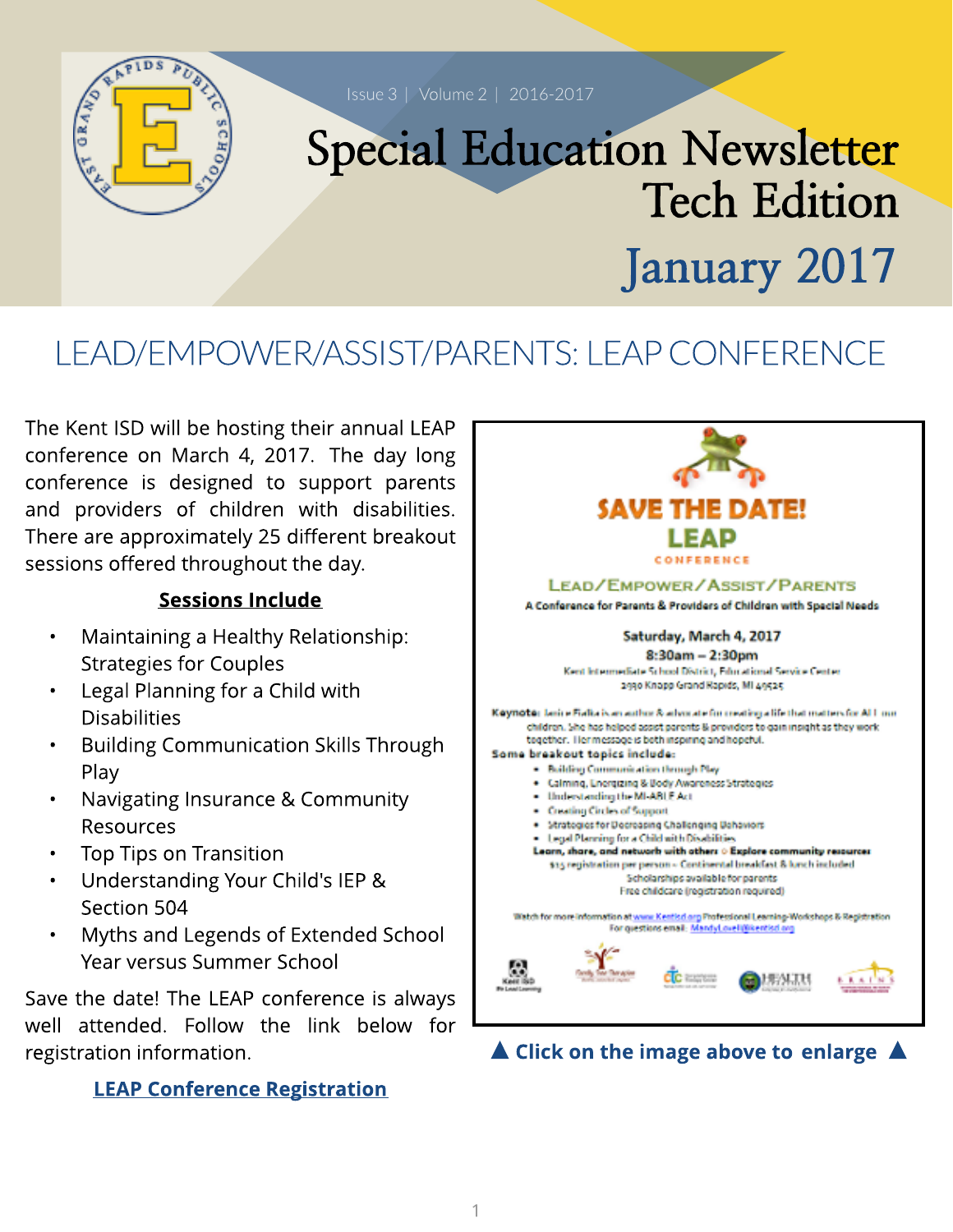

# LEAD/EMPOWER/ASSIST/PARENTS: LEAPCONFERENCE

The Kent ISD will be hosting their annual LEAP conference on March 4, 2017. The day long conference is designed to support parents and providers of children with disabilities. There are approximately 25 different breakout sessions offered throughout the day.

#### Sessions Include

- Maintaining a Healthy Relationship: Strategies for Couples
- Legal Planning for a Child with **Disabilities**
- Building Communication Skills Through Play
- Navigating Insurance & Community Resources
- Top Tips on Transition
- Understanding Your Child's IEP & Section 504
- Myths and Legends of Extended School Year versus Summer School

Save the date! The LEAP conference is always well attended. Follow the link below for registration information.

#### **[LEAP](https://reg.abcsignup.com/reg/event_page.aspx?ek=0001-0020-b80f8464e361490a95b69c7a6e80ba88) [Conference](https://reg.abcsignup.com/reg/event_page.aspx?ek=0001-0020-b80f8464e361490a95b69c7a6e80ba88) [Registrat](https://reg.abcsignup.com/reg/event_page.aspx?ek=0001-0020-b80f8464e361490a95b69c7a6e80ba88)ion**

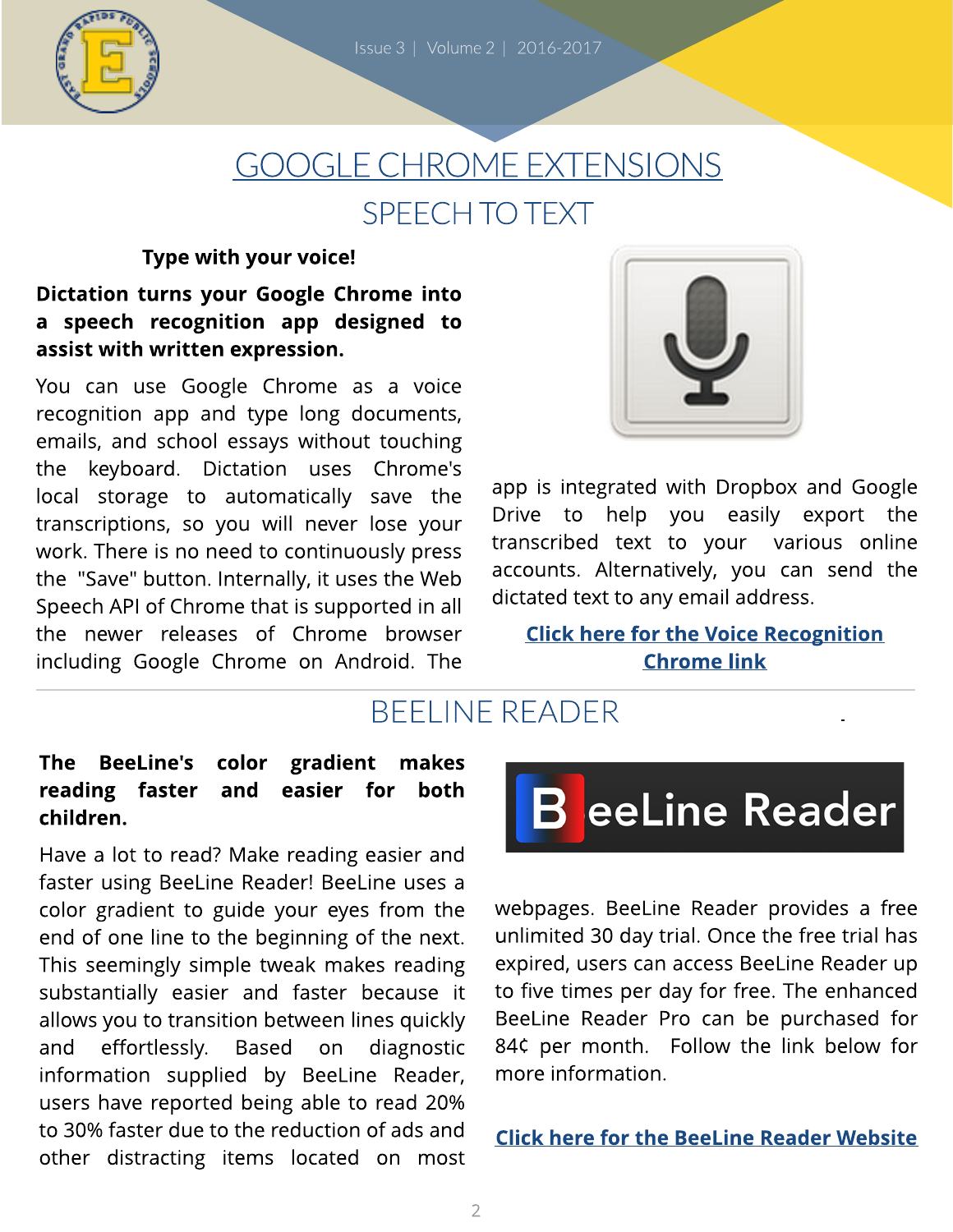

# GOOGLECHROMEEXTENSIONS SPEECH TO TEXT

#### Type with your voice!

Dictation turns your Google Chrome into a speech recognition app designed to assist with written expression.

You can use Google Chrome as a voice recognition app and type long documents, emails, and school essays without touching the keyboard. Dictation uses Chrome's local storage to automatically save the transcriptions, so you will never lose your work. There is no need to continuously press the "Save" button. Internally, it uses the Web Speech API of Chrome that is supported in all the newer releases of Chrome browser including Google Chrome on Android. The



app is integrated with Dropbox and Google Drive to help you easily export the transcribed text to your various online accounts. Alternatively, you can send the dictated text to any email address.

**[Click](https://chrome.google.com/webstore/detail/voice-recognition/ikjmfindklfaonkodbnidahohdfbdhkn) [here](https://chrome.google.com/webstore/detail/voice-recognition/ikjmfindklfaonkodbnidahohdfbdhkn) [for](https://chrome.google.com/webstore/detail/voice-recognition/ikjmfindklfaonkodbnidahohdfbdhkn) t[he](https://chrome.google.com/webstore/detail/voice-recognition/ikjmfindklfaonkodbnidahohdfbdhkn) [Voice](https://chrome.google.com/webstore/detail/voice-recognition/ikjmfindklfaonkodbnidahohdfbdhkn) [Recognit](https://chrome.google.com/webstore/detail/voice-recognition/ikjmfindklfaonkodbnidahohdfbdhkn)[ion](https://chrome.google.com/webstore/detail/voice-recognition/ikjmfindklfaonkodbnidahohdfbdhkn) [Chrom](https://chrome.google.com/webstore/detail/voice-recognition/ikjmfindklfaonkodbnidahohdfbdhkn)e [link](https://chrome.google.com/webstore/detail/voice-recognition/ikjmfindklfaonkodbnidahohdfbdhkn)** 

## BEELINEREADER

#### The BeeLine's color gradient makes reading faster and easier for both children.

Have a lot to read? Make reading easier and faster using BeeLine Reader! BeeLine uses a color gradient to guide your eyes from the end of one line to the beginning of the next. This seemingly simple tweak makes reading substantially easier and faster because it allows you to transition between lines quickly and effortlessly. Based on diagnostic information supplied by BeeLine Reader, users have reported being able to read 20% to 30% faster due to the reduction of ads and other distracting items located on most



webpages. BeeLine Reader provides a free unlimited 30 day trial. Once the free trial has expired, users can access BeeLine Reader up to five times per day for free. The enhanced BeeLine Reader Pro can be purchased for 84¢ per month. Follow the link below for more information.

#### **[Click](https://chrome.google.com/webstore/detail/beeline-reader/ifjafammaookpiajfbedmacfldaiamgg) [here](https://chrome.google.com/webstore/detail/beeline-reader/ifjafammaookpiajfbedmacfldaiamgg) [for](https://chrome.google.com/webstore/detail/beeline-reader/ifjafammaookpiajfbedmacfldaiamgg) t[he](https://chrome.google.com/webstore/detail/beeline-reader/ifjafammaookpiajfbedmacfldaiamgg) [BeeLine](https://chrome.google.com/webstore/detail/beeline-reader/ifjafammaookpiajfbedmacfldaiamgg) [Reader](https://chrome.google.com/webstore/detail/beeline-reader/ifjafammaookpiajfbedmacfldaiamgg) [Websit](https://chrome.google.com/webstore/detail/beeline-reader/ifjafammaookpiajfbedmacfldaiamgg)e**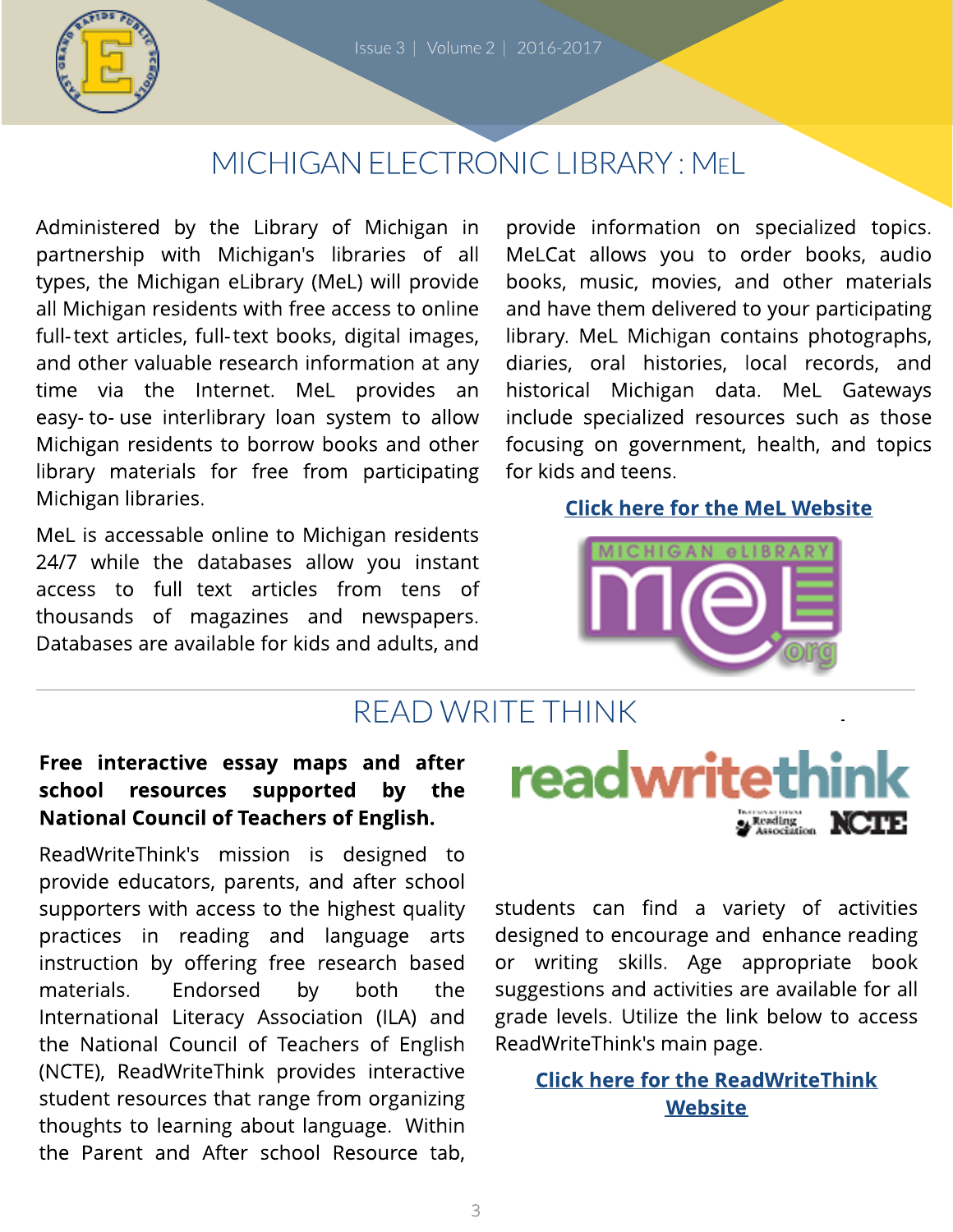

## MICHIGAN ELECTRONIC LIBRARY: MEL

[Administered](http://mel.org/index.php?P=Home) [by](http://mel.org/index.php?P=Home) [the](http://mel.org/index.php?P=Home) [Library](http://mel.org/index.php?P=Home) [of](http://mel.org/index.php?P=Home) [Michigan](http://mel.org/index.php?P=Home) [in](http://mel.org/index.php?P=Home) [partnership](http://mel.org/index.php?P=Home) [with](http://mel.org/index.php?P=Home) [Michigan's](http://mel.org/index.php?P=Home) [libraries](http://mel.org/index.php?P=Home) [of](http://mel.org/index.php?P=Home) [all](http://mel.org/index.php?P=Home) [types,](http://mel.org/index.php?P=Home) [the](http://mel.org/index.php?P=Home) [Michigan](http://mel.org/index.php?P=Home) [eLibrary](http://mel.org/index.php?P=Home) [\(MeL\)](http://mel.org/index.php?P=Home) [will](http://mel.org/index.php?P=Home) [provide](http://mel.org/index.php?P=Home) [all](http://mel.org/index.php?P=Home) [Michigan](http://mel.org/index.php?P=Home) [residents](http://mel.org/index.php?P=Home) [with](http://mel.org/index.php?P=Home) [free](http://mel.org/index.php?P=Home) [access](http://mel.org/index.php?P=Home) [to](http://mel.org/index.php?P=Home) [online](http://mel.org/index.php?P=Home) [full-text](http://mel.org/index.php?P=Home) [articles,](http://mel.org/index.php?P=Home) [full-text](http://mel.org/index.php?P=Home) [books,](http://mel.org/index.php?P=Home) [digital](http://mel.org/index.php?P=Home) [images,](http://mel.org/index.php?P=Home) [and](http://mel.org/index.php?P=Home) [other](http://mel.org/index.php?P=Home) [valuable](http://mel.org/index.php?P=Home) [research](http://mel.org/index.php?P=Home) [information](http://mel.org/index.php?P=Home) [at](http://mel.org/index.php?P=Home) [any](http://mel.org/index.php?P=Home) [time](http://mel.org/index.php?P=Home) [via](http://mel.org/index.php?P=Home) [the](http://mel.org/index.php?P=Home) [Internet.](http://mel.org/index.php?P=Home) [MeL](http://mel.org/index.php?P=Home) [provides](http://mel.org/index.php?P=Home) [an](http://mel.org/index.php?P=Home) [easy-](http://mel.org/index.php?P=Home) [to-](http://mel.org/index.php?P=Home) [use](http://mel.org/index.php?P=Home) [interlibrary](http://mel.org/index.php?P=Home) [loan](http://mel.org/index.php?P=Home) [system](http://mel.org/index.php?P=Home) [to](http://mel.org/index.php?P=Home) [allow](http://mel.org/index.php?P=Home) [Michigan](http://mel.org/index.php?P=Home) [residents](http://mel.org/index.php?P=Home) [to](http://mel.org/index.php?P=Home) [borrow](http://mel.org/index.php?P=Home) [books](http://mel.org/index.php?P=Home) [and](http://mel.org/index.php?P=Home) [other](http://mel.org/index.php?P=Home) [library](http://mel.org/index.php?P=Home) [materials](http://mel.org/index.php?P=Home) [for](http://mel.org/index.php?P=Home) [free](http://mel.org/index.php?P=Home) [from](http://mel.org/index.php?P=Home) [participating](http://mel.org/index.php?P=Home) [Michigan](http://mel.org/index.php?P=Home) [libraries.](http://mel.org/index.php?P=Home)

[MeL](http://mel.org/index.php?P=Home) [is](http://mel.org/index.php?P=Home) [accessable](http://mel.org/index.php?P=Home) [online](http://mel.org/index.php?P=Home) [to](http://mel.org/index.php?P=Home) [Michigan](http://mel.org/index.php?P=Home) [residents](http://mel.org/index.php?P=Home) [24/7](http://mel.org/index.php?P=Home) [while](http://mel.org/index.php?P=Home) [the](http://mel.org/index.php?P=Home) [databases](http://mel.org/index.php?P=Home) [allow](http://mel.org/index.php?P=Home) [you](http://mel.org/index.php?P=Home) [instant](http://mel.org/index.php?P=Home) [access](http://mel.org/index.php?P=Home) [to](http://mel.org/index.php?P=Home) [full](http://mel.org/index.php?P=Home) [text](http://mel.org/index.php?P=Home) [articles](http://mel.org/index.php?P=Home) [from](http://mel.org/index.php?P=Home) [tens](http://mel.org/index.php?P=Home) [of](http://mel.org/index.php?P=Home) [thousands](http://mel.org/index.php?P=Home) [of](http://mel.org/index.php?P=Home) [magazines](http://mel.org/index.php?P=Home) [and](http://mel.org/index.php?P=Home) [newspapers.](http://mel.org/index.php?P=Home) [Databases](http://mel.org/index.php?P=Home) [are](http://mel.org/index.php?P=Home) [available](http://mel.org/index.php?P=Home) [for](http://mel.org/index.php?P=Home) [kids](http://mel.org/index.php?P=Home) [and](http://mel.org/index.php?P=Home) [adults,](http://mel.org/index.php?P=Home) [and](http://mel.org/index.php?P=Home)

[provide](http://mel.org/index.php?P=Home) [information](http://mel.org/index.php?P=Home) [on](http://mel.org/index.php?P=Home) [specialized](http://mel.org/index.php?P=Home) [topics.](http://mel.org/index.php?P=Home) [MeLCat](http://mel.org/index.php?P=Home) [allows](http://mel.org/index.php?P=Home) [you](http://mel.org/index.php?P=Home) [to](http://mel.org/index.php?P=Home) [order](http://mel.org/index.php?P=Home) [books,](http://mel.org/index.php?P=Home) [audio](http://mel.org/index.php?P=Home) [books,](http://mel.org/index.php?P=Home) [music,](http://mel.org/index.php?P=Home) [movies,](http://mel.org/index.php?P=Home) [and](http://mel.org/index.php?P=Home) [other](http://mel.org/index.php?P=Home) [materials](http://mel.org/index.php?P=Home) [and](http://mel.org/index.php?P=Home) [have](http://mel.org/index.php?P=Home) [them](http://mel.org/index.php?P=Home) [delivered](http://mel.org/index.php?P=Home) [to](http://mel.org/index.php?P=Home) [your](http://mel.org/index.php?P=Home) [participating](http://mel.org/index.php?P=Home) [library.](http://mel.org/index.php?P=Home) [MeL](http://mel.org/index.php?P=Home) [Michigan](http://mel.org/index.php?P=Home) [contains](http://mel.org/index.php?P=Home) [photographs,](http://mel.org/index.php?P=Home) [diaries,](http://mel.org/index.php?P=Home) [oral](http://mel.org/index.php?P=Home) [histories,](http://mel.org/index.php?P=Home) [local](http://mel.org/index.php?P=Home) [records,](http://mel.org/index.php?P=Home) [and](http://mel.org/index.php?P=Home) [historical](http://mel.org/index.php?P=Home) [Michigan](http://mel.org/index.php?P=Home) [data.](http://mel.org/index.php?P=Home) [MeL](http://mel.org/index.php?P=Home) [Gateways](http://mel.org/index.php?P=Home) [include](http://mel.org/index.php?P=Home) [specialized](http://mel.org/index.php?P=Home) [resources](http://mel.org/index.php?P=Home) [such](http://mel.org/index.php?P=Home) [as](http://mel.org/index.php?P=Home) [those](http://mel.org/index.php?P=Home) [focusing](http://mel.org/index.php?P=Home) [on](http://mel.org/index.php?P=Home) [government,](http://mel.org/index.php?P=Home) [health,](http://mel.org/index.php?P=Home) [and](http://mel.org/index.php?P=Home) [topics](http://mel.org/index.php?P=Home) [for](http://mel.org/index.php?P=Home) [kids](http://mel.org/index.php?P=Home) [and](http://mel.org/index.php?P=Home) [teens.](http://mel.org/index.php?P=Home)

#### [Click](http://mel.org/index.php?P=Home) [here](http://mel.org/index.php?P=Home) [for](http://mel.org/index.php?P=Home) t[he](http://mel.org/index.php?P=Home) [MeL](http://mel.org/index.php?P=Home) [Websit](http://mel.org/index.php?P=Home)e



### READ WRITETHINK

### Free interactive essay maps and after school resources supported by the National Council of Teachers of English.

ReadWriteThink's mission is designed to provide educators, parents, and after school supporters with access to the highest quality practices in reading and language arts instruction by offering free research based materials. Endorsed by both the International Literacy Association (ILA) and the National Council of Teachers of English (NCTE), ReadWriteThink provides interactive student resources that range from organizing thoughts to learning about language. Within the Parent and After school Resource tab,



students can find a variety of activities designed to encourage and enhance reading or writing skills. Age appropriate book suggestions and activities are available for all grade levels. Utilize the link below to access ReadWriteThink's main page.

### **[Click](http://www.readwritethink.org/) [here](http://www.readwritethink.org/) [for](http://www.readwritethink.org/) t[he](http://www.readwritethink.org/) [ReadWrit](http://www.readwritethink.org/)e[Think](http://www.readwritethink.org/)** [Websit](http://www.readwritethink.org/)e